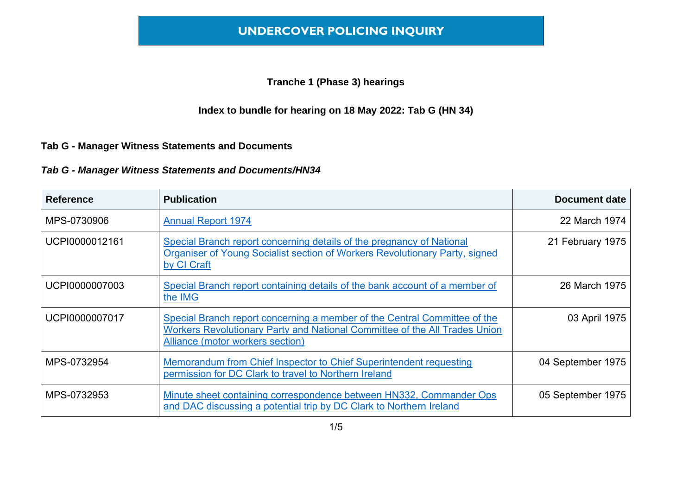#### **Tranche 1 (Phase 3) hearings**

### **Index to bundle for hearing on 18 May 2022: Tab G (HN 34)**

#### **Tab G - Manager Witness Statements and Documents**

#### *Tab G - Manager Witness Statements and Documents/HN34*

| <b>Reference</b> | <b>Publication</b>                                                                                                                                                                          | <b>Document date</b> |
|------------------|---------------------------------------------------------------------------------------------------------------------------------------------------------------------------------------------|----------------------|
| MPS-0730906      | <b>Annual Report 1974</b>                                                                                                                                                                   | 22 March 1974        |
| UCPI0000012161   | Special Branch report concerning details of the pregnancy of National<br>Organiser of Young Socialist section of Workers Revolutionary Party, signed<br>by CI Craft                         | 21 February 1975     |
| UCPI0000007003   | Special Branch report containing details of the bank account of a member of<br>the IMG                                                                                                      | 26 March 1975        |
| UCPI0000007017   | Special Branch report concerning a member of the Central Committee of the<br>Workers Revolutionary Party and National Committee of the All Trades Union<br>Alliance (motor workers section) | 03 April 1975        |
| MPS-0732954      | Memorandum from Chief Inspector to Chief Superintendent requesting<br>permission for DC Clark to travel to Northern Ireland                                                                 | 04 September 1975    |
| MPS-0732953      | Minute sheet containing correspondence between HN332, Commander Ops<br>and DAC discussing a potential trip by DC Clark to Northern Ireland                                                  | 05 September 1975    |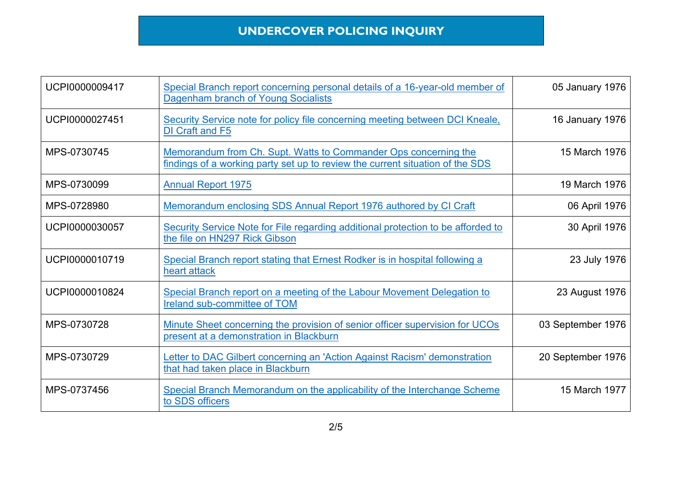| UCPI0000009417 | Special Branch report concerning personal details of a 16-year-old member of<br>Dagenham branch of Young Socialists                              | 05 January 1976   |
|----------------|--------------------------------------------------------------------------------------------------------------------------------------------------|-------------------|
| UCPI0000027451 | Security Service note for policy file concerning meeting between DCI Kneale,<br>DI Craft and F5                                                  | 16 January 1976   |
| MPS-0730745    | Memorandum from Ch. Supt. Watts to Commander Ops concerning the<br>findings of a working party set up to review the current situation of the SDS | 15 March 1976     |
| MPS-0730099    | <b>Annual Report 1975</b>                                                                                                                        | 19 March 1976     |
| MPS-0728980    | Memorandum enclosing SDS Annual Report 1976 authored by CI Craft                                                                                 | 06 April 1976     |
| UCPI0000030057 | Security Service Note for File regarding additional protection to be afforded to<br>the file on HN297 Rick Gibson                                | 30 April 1976     |
| UCPI0000010719 | Special Branch report stating that Ernest Rodker is in hospital following a<br>heart attack                                                      | 23 July 1976      |
| UCPI0000010824 | Special Branch report on a meeting of the Labour Movement Delegation to<br>Ireland sub-committee of TOM                                          | 23 August 1976    |
| MPS-0730728    | Minute Sheet concerning the provision of senior officer supervision for UCOs<br>present at a demonstration in Blackburn                          | 03 September 1976 |
| MPS-0730729    | Letter to DAC Gilbert concerning an 'Action Against Racism' demonstration<br>that had taken place in Blackburn                                   | 20 September 1976 |
| MPS-0737456    | Special Branch Memorandum on the applicability of the Interchange Scheme<br>to SDS officers                                                      | 15 March 1977     |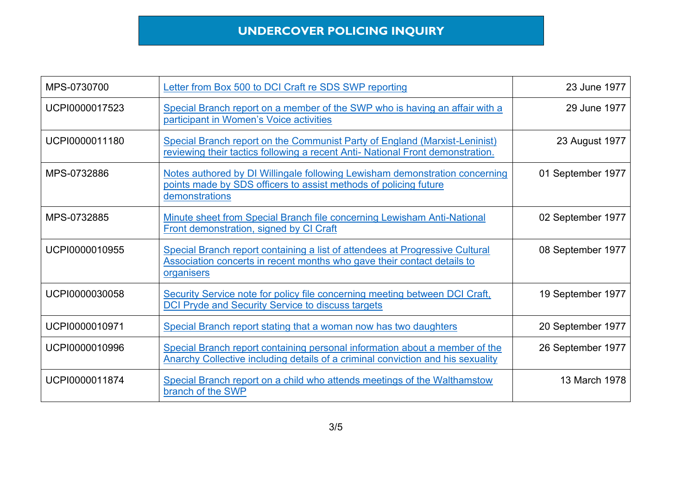| MPS-0730700    | Letter from Box 500 to DCI Craft re SDS SWP reporting                                                                                                                 | 23 June 1977      |
|----------------|-----------------------------------------------------------------------------------------------------------------------------------------------------------------------|-------------------|
| UCPI0000017523 | Special Branch report on a member of the SWP who is having an affair with a<br>participant in Women's Voice activities                                                | 29 June 1977      |
| UCPI0000011180 | Special Branch report on the Communist Party of England (Marxist-Leninist)<br>reviewing their tactics following a recent Anti- National Front demonstration.          | 23 August 1977    |
| MPS-0732886    | Notes authored by DI Willingale following Lewisham demonstration concerning<br>points made by SDS officers to assist methods of policing future<br>demonstrations     | 01 September 1977 |
| MPS-0732885    | Minute sheet from Special Branch file concerning Lewisham Anti-National<br>Front demonstration, signed by CI Craft                                                    | 02 September 1977 |
| UCPI0000010955 | Special Branch report containing a list of attendees at Progressive Cultural<br>Association concerts in recent months who gave their contact details to<br>organisers | 08 September 1977 |
| UCPI0000030058 | Security Service note for policy file concerning meeting between DCI Craft,<br>DCI Pryde and Security Service to discuss targets                                      | 19 September 1977 |
| UCPI0000010971 | Special Branch report stating that a woman now has two daughters                                                                                                      | 20 September 1977 |
| UCPI0000010996 | Special Branch report containing personal information about a member of the<br>Anarchy Collective including details of a criminal conviction and his sexuality        | 26 September 1977 |
| UCPI0000011874 | Special Branch report on a child who attends meetings of the Walthamstow<br>branch of the SWP                                                                         | 13 March 1978     |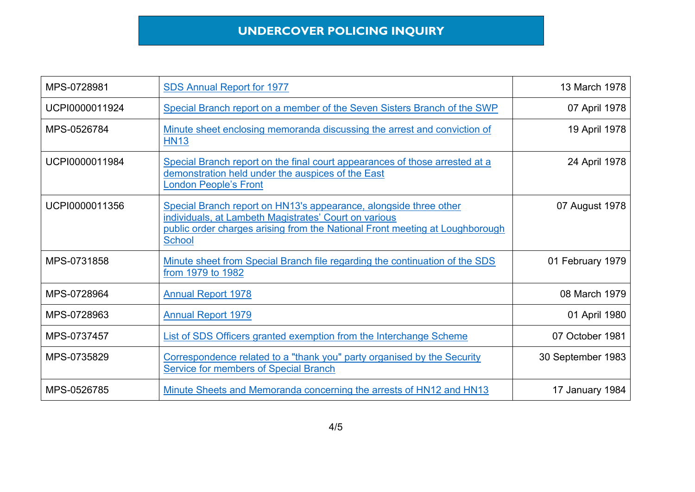| MPS-0728981    | <b>SDS Annual Report for 1977</b>                                                                                                                                                                                           | 13 March 1978     |
|----------------|-----------------------------------------------------------------------------------------------------------------------------------------------------------------------------------------------------------------------------|-------------------|
| UCPI0000011924 | Special Branch report on a member of the Seven Sisters Branch of the SWP                                                                                                                                                    | 07 April 1978     |
| MPS-0526784    | Minute sheet enclosing memoranda discussing the arrest and conviction of<br><b>HN13</b>                                                                                                                                     | 19 April 1978     |
| UCPI0000011984 | Special Branch report on the final court appearances of those arrested at a<br>demonstration held under the auspices of the East<br><b>London People's Front</b>                                                            | 24 April 1978     |
| UCPI0000011356 | Special Branch report on HN13's appearance, alongside three other<br>individuals, at Lambeth Magistrates' Court on various<br>public order charges arising from the National Front meeting at Loughborough<br><b>School</b> | 07 August 1978    |
| MPS-0731858    | Minute sheet from Special Branch file regarding the continuation of the SDS<br>from 1979 to 1982                                                                                                                            | 01 February 1979  |
| MPS-0728964    | <b>Annual Report 1978</b>                                                                                                                                                                                                   | 08 March 1979     |
| MPS-0728963    | <b>Annual Report 1979</b>                                                                                                                                                                                                   | 01 April 1980     |
| MPS-0737457    | List of SDS Officers granted exemption from the Interchange Scheme                                                                                                                                                          | 07 October 1981   |
| MPS-0735829    | Correspondence related to a "thank you" party organised by the Security<br><b>Service for members of Special Branch</b>                                                                                                     | 30 September 1983 |
| MPS-0526785    | Minute Sheets and Memoranda concerning the arrests of HN12 and HN13                                                                                                                                                         | 17 January 1984   |